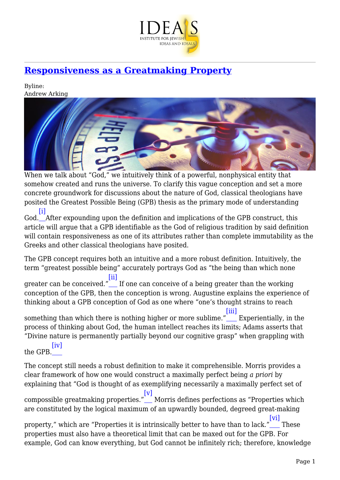

# **[Responsiveness as a Greatmaking Property](https://www.jewishideas.org/article/responsiveness-greatmaking-property)**

Byline: Andrew Arking



When we talk about "God," we intuitively think of a powerful, nonphysical entity that somehow created and runs the universe. To clarify this vague conception and set a more concrete groundwork for discussions about the nature of God, classical theologians have posited the Greatest Possible Being (GPB) thesis as the primary mode of understanding [\[i\]](#page-6-0)

<span id="page-0-0"></span>God. After expounding upon the definition and implications of the GPB construct, this article will argue that a GPB identifiable as the God of religious tradition by said definition will contain responsiveness as one of its attributes rather than complete immutability as the Greeks and other classical theologians have posited.

The GPB concept requires both an intuitive and a more robust definition. Intuitively, the term "greatest possible being" accurately portrays God as "the being than which none

<span id="page-0-1"></span>greater can be conceived."\_\_\_ If one can conceive of a being greater than the working [\[ii\]](#page-6-1) conception of the GPB, then the conception is wrong. Augustine explains the experience of thinking about a GPB conception of God as one where "one's thought strains to reach

<span id="page-0-2"></span>something than which there is nothing higher or more sublime." [\[iii\]](#page-6-2) Experientially, in the process of thinking about God, the human intellect reaches its limits; Adams asserts that "Divine nature is permanently partially beyond our cognitive grasp" when grappling with  $[iv]$ 

<span id="page-0-3"></span>the GPB.

<span id="page-0-4"></span>The concept still needs a robust definition to make it comprehensible. Morris provides a clear framework of how one would construct a maximally perfect being *a priori* by explaining that "God is thought of as exemplifying necessarily a maximally perfect set of compossible greatmaking properties." [\[v\]](#page-6-4) Morris defines perfections as "Properties which are constituted by the logical maximum of an upwardly bounded, degreed great-making property," which are "Properties it is intrinsically better to have than to lack." [\[vi\]](#page-6-5) These

<span id="page-0-5"></span>properties must also have a theoretical limit that can be maxed out for the GPB. For example, God can know everything, but God cannot be infinitely rich; therefore, knowledge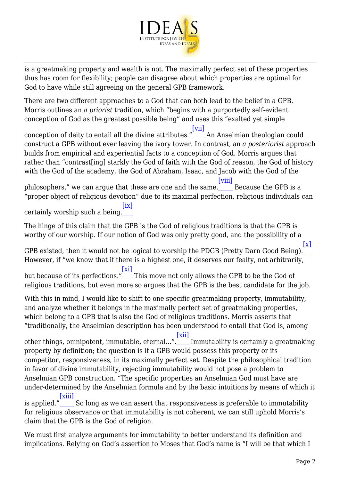

is a greatmaking property and wealth is not. The maximally perfect set of these properties thus has room for flexibility; people can disagree about which properties are optimal for God to have while still agreeing on the general GPB framework.

There are two different approaches to a God that can both lead to the belief in a GPB. Morris outlines an *a priorist* tradition, which "begins with a purportedly self-evident conception of God as the greatest possible being" and uses this "exalted yet simple

<span id="page-1-0"></span>conception of deity to entail all the divine attributes." An Anselmian theologian could [\[vii\]](#page-6-6) construct a GPB without ever leaving the ivory tower. In contrast, an *a posteriorist* approach builds from empirical and experiential facts to a conception of God. Morris argues that rather than "contrast[ing] starkly the God of faith with the God of reason, the God of history with the God of the academy, the God of Abraham, Isaac, and Jacob with the God of the

<span id="page-1-1"></span>philosophers," we can argue that these are one and the same.\_\_\_\_\_ Because the GPB is a [\[viii\]](#page-7-0) "proper object of religious devotion" due to its maximal perfection, religious individuals can [\[ix\]](#page-7-1)

<span id="page-1-2"></span>certainly worship such a being.

The hinge of this claim that the GPB is the God of religious traditions is that the GPB is worthy of our worship. If our notion of God was only pretty good, and the possibility of a

<span id="page-1-4"></span><span id="page-1-3"></span>GPB existed, then it would not be logical to worship the PDGB (Pretty Darn Good Being). [\[x\]](#page-7-2) However, if "we know that if there is a highest one, it deserves our fealty, not arbitrarily, but because of its perfections." [\[xi\]](#page-7-3) This move not only allows the GPB to be the God of religious traditions, but even more so argues that the GPB is the best candidate for the job.

With this in mind, I would like to shift to one specific greatmaking property, immutability, and analyze whether it belongs in the maximally perfect set of greatmaking properties, which belong to a GPB that is also the God of religious traditions. Morris asserts that "traditionally, the Anselmian description has been understood to entail that God is, among

<span id="page-1-5"></span>other things, omnipotent, immutable, eternal...". [\[xii\]](#page-7-4) Immutability is certainly a greatmaking property by definition; the question is if a GPB would possess this property or its competitor, responsiveness, in its maximally perfect set. Despite the philosophical tradition in favor of divine immutability, rejecting immutability would not pose a problem to Anselmian GPB construction. "The specific properties an Anselmian God must have are under-determined by the Anselmian formula and by the basic intuitions by means of which it

<span id="page-1-6"></span>is applied." [\[xiii\]](#page-7-5) So long as we can assert that responsiveness is preferable to immutability for religious observance or that immutability is not coherent, we can still uphold Morris's claim that the GPB is the God of religion.

<span id="page-1-7"></span>We must first analyze arguments for immutability to better understand its definition and implications. Relying on God's assertion to Moses that God's name is "I will be that which I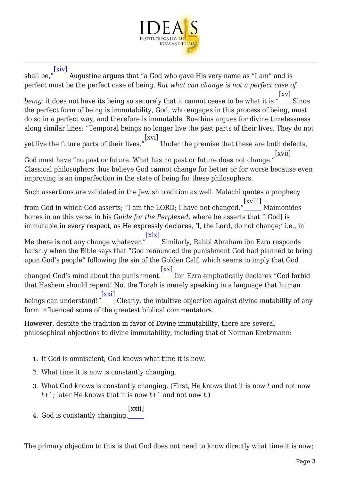

### [\[xiv\]](#page-7-6)

<span id="page-2-2"></span><span id="page-2-1"></span><span id="page-2-0"></span>shall be," Augustine argues that "a God who gave His very name as "I am" and is perfect must be the perfect case of being. *But what can change is not a perfect case of being*: it does not have its being so securely that it cannot cease to be what it is." [\[xv\]](#page-7-7) Since the perfect form of being is immutability, God, who engages in this process of being, must do so in a perfect way, and therefore is immutable. Boethius argues for divine timelessness along similar lines: "Temporal beings no longer live the past parts of their lives. They do not yet live the future parts of their lives." [\[xvi\]](#page-7-8) Under the premise that these are both defects, God must have "no past or future. What has no past or future does not change." [\[xvii\]](#page-7-9) Classical philosophers thus believe God cannot change for better or for worse because even improving is an imperfection in the state of being for these philosophers. Such assertions are validated in the Jewish tradition as well. Malachi quotes a prophecy from God in which God asserts; "I am the LORD; I have not changed." [\[xviii\]](#page-7-10) Maimonides hones in on this verse in his *Guide for the Perplexed,* where he asserts that "[God] is immutable in every respect, as He expressly declares, 'I, the Lord, do not change;' i.e., in Me there is not any change whatever." Similarly, Rabbi Abraham ibn Ezra responds [\[xix\]](#page-7-11) harshly when the Bible says that "God renounced the punishment God had planned to bring upon God's people" following the sin of the Golden Calf, which seems to imply that God changed God's mind about the punishment. Ibn Ezra emphatically declares "God forbid  $\lceil xx \rceil$ that Hashem should repent! No, the Torah is merely speaking in a language that human beings can understand!" Clearly, the intuitive objection against divine mutability of any [\[xxi\]](#page-7-13) form influenced some of the greatest biblical commentators.

<span id="page-2-6"></span><span id="page-2-5"></span><span id="page-2-4"></span><span id="page-2-3"></span>However, despite the tradition in favor of Divine immutability, there are several philosophical objections to divine immutability, including that of Norman Kretzmann:

- 1. If God is omniscient, God knows what time it is now.
- 2. What time it is now is constantly changing.
- 3. What God knows is constantly changing. (First, He knows that it is now *t* and not now *t*+1; later He knows that it is now *t*+1 and not now *t*.)
- <span id="page-2-7"></span>4. God is constantly changing.  $\vert$ xxii $\vert$

The primary objection to this is that God does not need to know directly what time it is now;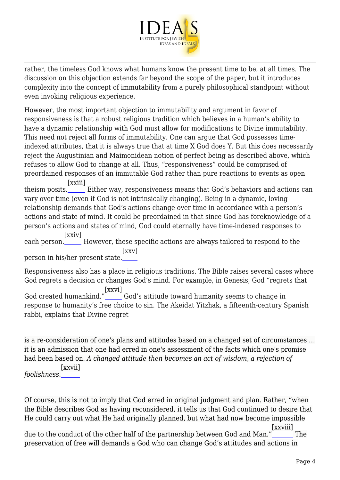

rather, the timeless God knows what humans know the present time to be, at all times. The discussion on this objection extends far beyond the scope of the paper, but it introduces complexity into the concept of immutability from a purely philosophical standpoint without even invoking religious experience.

However, the most important objection to immutability and argument in favor of responsiveness is that a robust religious tradition which believes in a human's ability to have a dynamic relationship with God must allow for modifications to Divine immutability. This need not reject all forms of immutability. One can argue that God possesses timeindexed attributes, that it is always true that at time X God does Y. But this does necessarily reject the Augustinian and Maimonidean notion of perfect being as described above, which refuses to allow God to change at all. Thus, "responsiveness" could be comprised of preordained responses of an immutable God rather than pure reactions to events as open [\[xxiii\]](#page-7-15)

<span id="page-3-0"></span>theism posits. Either way, responsiveness means that God's behaviors and actions can vary over time (even if God is not intrinsically changing). Being in a dynamic, loving relationship demands that God's actions change over time in accordance with a person's actions and state of mind. It could be preordained in that since God has foreknowledge of a person's actions and states of mind, God could eternally have time-indexed responses to

<span id="page-3-1"></span>each person. However, these specific actions are always tailored to respond to the [\[xxiv\]](#page-7-16) [\[xxv\]](#page-7-17)

<span id="page-3-2"></span>person in his/her present state.

<span id="page-3-3"></span>Responsiveness also has a place in religious traditions. The Bible raises several cases where God regrets a decision or changes God's mind. For example, in Genesis, God "regrets that God created humankind." [\[xxvi\]](#page-7-18) God's attitude toward humanity seems to change in response to humanity's free choice to sin. The Akeidat Yitzhak, a fifteenth-century Spanish rabbi, explains that Divine regret

is a re-consideration of one's plans and attitudes based on a changed set of circumstances … it is an admission that one had erred in one's assessment of the facts which one's promise had been based on. *A changed attitude then becomes an act of wisdom, a rejection of*

<span id="page-3-4"></span>*foolishness*. [\[xxvii\]](#page-7-19)

Of course, this is not to imply that God erred in original judgment and plan. Rather, "when the Bible describes God as having reconsidered, it tells us that God continued to desire that He could carry out what He had originally planned, but what had now become impossible

<span id="page-3-5"></span>due to the conduct of the other half of the partnership between God and Man.' [\[xxviii\]](#page-7-20) The preservation of free will demands a God who can change God's attitudes and actions in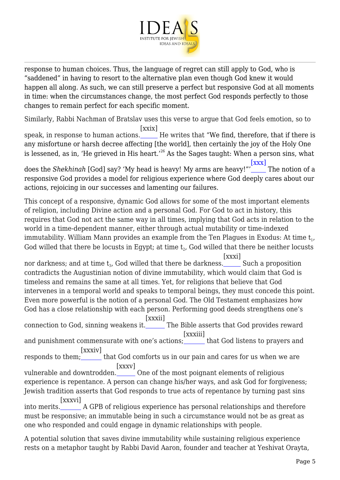

response to human choices. Thus, the language of regret can still apply to God, who is "saddened" in having to resort to the alternative plan even though God knew it would happen all along. As such, we can still preserve a perfect but responsive God at all moments in time: when the circumstances change, the most perfect God responds perfectly to those changes to remain perfect for each specific moment.

Similarly, Rabbi Nachman of Bratslav uses this verse to argue that God feels emotion, so to

<span id="page-4-0"></span>speak, in response to human actions.\_\_\_\_\_\_ He writes that "We find, therefore, that if there is [\[xxix\]](#page-7-21) any misfortune or harsh decree affecting [the world], then certainly the joy of the Holy One is lessened, as in, 'He grieved in His heart.'<sup>26</sup> As the Sages taught: When a person sins, what [\[xxx\]](#page-7-22)

<span id="page-4-1"></span>does the *Shekhinah* [God] say? 'My head is heavy! My arms are heavy!"'  $\sum_{n=1}^{\infty}$  The notion of a responsive God provides a model for religious experience where God deeply cares about our actions, rejoicing in our successes and lamenting our failures.

This concept of a responsive, dynamic God allows for some of the most important elements of religion, including Divine action and a personal God. For God to act in history, this requires that God not act the same way in all times, implying that God acts in relation to the world in a time-dependent manner, either through actual mutability or time-indexed immutability. William Mann provides an example from the Ten Plagues in Exodus: At time  $\bm{{\mathsf{t}}}_1$ , God willed that there be locusts in Egypt; at time  $\bm{{\mathsf{t}}}_2$ , God willed that there be neither locusts

<span id="page-4-2"></span>nor darkness; and at time  $\bm{{\mathsf{t}}}_3$ , God willed that there be darkness.\_\_\_\_\_ Such a proposition [\[xxxi\]](#page-7-23) contradicts the Augustinian notion of divine immutability, which would claim that God is timeless and remains the same at all times. Yet, for religions that believe that God intervenes in a temporal world and speaks to temporal beings, they must concede this point. Even more powerful is the notion of a personal God. The Old Testament emphasizes how God has a close relationship with each person. Performing good deeds strengthens one's

<span id="page-4-4"></span><span id="page-4-3"></span>connection to God, sinning weakens it. [\[xxxii\]](#page-7-24) The Bible asserts that God provides reward [\[xxxiii\]](#page-7-25)

and punishment commensurate with one's actions;\_\_\_\_\_\_ that God listens to prayers and [\[xxxiv\]](#page-8-0)

<span id="page-4-5"></span>responds to them; that God comforts us in our pain and cares for us when we are [\[xxxv\]](#page-8-1)

<span id="page-4-6"></span>vulnerable and downtrodden. One of the most poignant elements of religious experience is repentance. A person can change his/her ways, and ask God for forgiveness; Jewish tradition asserts that God responds to true acts of repentance by turning past sins [\[xxxvi\]](#page-8-2)

<span id="page-4-7"></span>into merits. A GPB of religious experience has personal relationships and therefore must be responsive; an immutable being in such a circumstance would not be as great as one who responded and could engage in dynamic relationships with people.

A potential solution that saves divine immutability while sustaining religious experience rests on a metaphor taught by Rabbi David Aaron, founder and teacher at Yeshivat Orayta,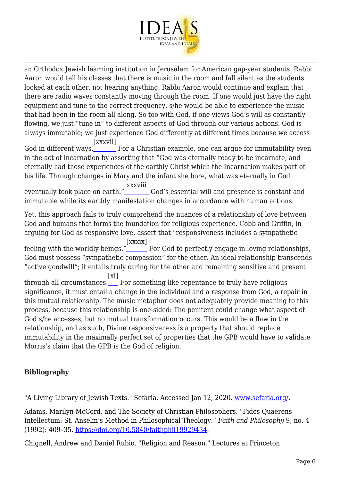

an Orthodox Jewish learning institution in Jerusalem for American gap-year students. Rabbi Aaron would tell his classes that there is music in the room and fall silent as the students looked at each other, not hearing anything. Rabbi Aaron would continue and explain that there are radio waves constantly moving through the room. If one would just have the right equipment and tune to the correct frequency, s/he would be able to experience the music that had been in the room all along. So too with God, if one views God's will as constantly flowing, we just "tune in" to different aspects of God through our various actions. God is always immutable; we just experience God differently at different times because we access [\[xxxvii\]](#page-8-3)

<span id="page-5-0"></span>God in different ways. For a Christian example, one can argue for immutability even in the act of incarnation by asserting that "God was eternally ready to be incarnate, and eternally had those experiences of the earthly Christ which the Incarnation makes part of his life. Through changes in Mary and the infant she bore, what was eternally in God

<span id="page-5-1"></span>eventually took place on earth." [\[xxxviii\]](#page-8-4) God's essential will and presence is constant and immutable while its earthly manifestation changes in accordance with human actions.

Yet, this approach fails to truly comprehend the nuances of a relationship of love between God and humans that forms the foundation for religious experience. Cobb and Griffin, in arguing for God as responsive love, assert that "responsiveness includes a sympathetic

<span id="page-5-2"></span>feeling with the worldly beings." [\[xxxix\]](#page-8-5) For God to perfectly engage in loving relationships, God must possess "sympathetic compassion" for the other. An ideal relationship transcends "active goodwill"; it entails truly caring for the other and remaining sensitive and present

<span id="page-5-3"></span>through all circumstances. For something like repentance to truly have religious  $[x]$ significance, it must entail a change in the individual and a response from God, a repair in this mutual relationship. The music metaphor does not adequately provide meaning to this process, because this relationship is one-sided: The penitent could change what aspect of God s/he accesses, but no mutual transformation occurs. This would be a flaw in the relationship, and as such, Divine responsiveness is a property that should replace immutability in the maximally perfect set of properties that the GPB would have to validate Morris's claim that the GPB is the God of religion.

## **Bibliography**

"A Living Library of Jewish Texts." Sefaria. Accessed Jan 12, 2020. [www.sefaria.org/](http://www.sefaria.org/).

Adams, Marilyn McCord, and The Society of Christian Philosophers. "Fides Quaerens Intellectum: St. Anselm's Method in Philosophical Theology." *Faith and Philosophy* 9, no. 4 (1992): 409–35. [https://doi.org/10.5840/faithphil19929434.](https://doi.org/10.5840/faithphil19929434)

Chignell, Andrew and Daniel Rubio. "Religion and Reason." Lectures at Princeton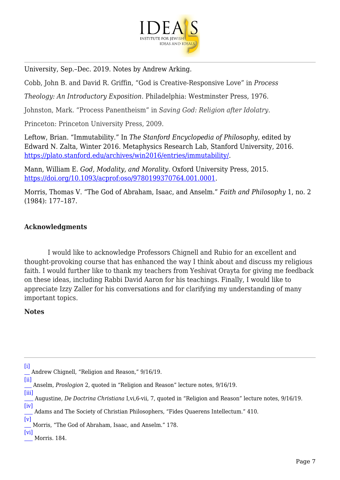

University, Sep.–Dec. 2019. Notes by Andrew Arking.

Cobb, John B. and David R. Griffin, "God is Creative-Responsive Love" in *Process*

*Theology: An Introductory Exposition.* Philadelphia: Westminster Press, 1976.

Johnston, Mark. "Process Panentheism" in *Saving God: Religion after Idolatry*.

Princeton: Princeton University Press, 2009.

Leftow, Brian. "Immutability." In *The Stanford Encyclopedia of Philosophy*, edited by Edward N. Zalta, Winter 2016. Metaphysics Research Lab, Stanford University, 2016. <https://plato.stanford.edu/archives/win2016/entries/immutability/>.

Mann, William E. *God, Modality, and Morality*. Oxford University Press, 2015. <https://doi.org/10.1093/acprof:oso/9780199370764.001.0001>.

Morris, Thomas V. "The God of Abraham, Isaac, and Anselm." *Faith and Philosophy* 1, no. 2 (1984): 177–187.

## **Acknowledgments**

 I would like to acknowledge Professors Chignell and Rubio for an excellent and thought-provoking course that has enhanced the way I think about and discuss my religious faith. I would further like to thank my teachers from Yeshivat Orayta for giving me feedback on these ideas, including Rabbi David Aaron for his teachings. Finally, I would like to appreciate Izzy Zaller for his conversations and for clarifying my understanding of many important topics.

### **Notes**

<span id="page-6-0"></span>[<sup>\[</sup>i\]](#page-0-0) Andrew Chignell, "Religion and Reason," 9/16/19.

<span id="page-6-1"></span>[<sup>\[</sup>ii\]](#page-0-1) Anselm, *Proslogion* 2, quoted in "Religion and Reason" lecture notes, 9/16/19.

<span id="page-6-2"></span>[<sup>\[</sup>iii\]](#page-0-2) Augustine, *De Doctrina Christiana* I,vi,6-vii, 7, quoted in "Religion and Reason" lecture notes, 9/16/19.

<span id="page-6-3"></span>[<sup>\[</sup>iv\]](#page-0-3) Adams and The Society of Christian Philosophers, "Fides Quaerens Intellectum." 410.

<span id="page-6-4"></span>[<sup>\[</sup>v\]](#page-0-4) Morris, "The God of Abraham, Isaac, and Anselm." 178.

<span id="page-6-6"></span><span id="page-6-5"></span>[<sup>\[</sup>vi\]](#page-0-5) Morris. 184.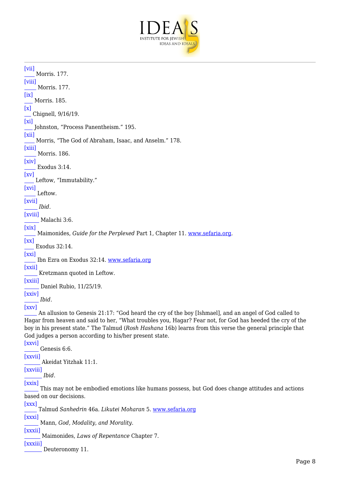

```
[vii]
    Morris. 177.
[viii]
     Morris. 177.
[ix]
    Morris. 185.
[x]
    Chignell, 9/16/19.
[xi]
     Johnston, "Process Panentheism." 195.
[xii]
    Morris, "The God of Abraham, Isaac, and Anselm." 178.
[xiii]
     Morris. 186.
[xiv]
      Exodus 3:14.
[xv]
    Leftow, "Immutability."
[xvi]
     Leftow.
[xvii]
     Ibid.
[xviii]
       Malachi 3:6.
[xix]
      Maimonides, Guide for the Perplexed Part 1, Chapter 11. www.sefaria.org.
[xx]
     Exodus 32:14.
[xxi]
      Ibn Ezra on Exodus 32:14. www.sefaria.org
[xxii]
      Kretzmann quoted in Leftow.
[xxiii]
       Daniel Rubio, 11/25/19.
[xxiv]
      Ibid.
[xxv]
      An allusion to Genesis 21:17: "God heard the cry of the boy [Ishmael], and an angel of God called to
Hagar from heaven and said to her, "What troubles you, Hagar? Fear not, for God has heeded the cry of the
boy in his present state." The Talmud (Rosh Hashana 16b) learns from this verse the general principle that
God judges a person according to his/her present state.
[xxvi]
       Genesis 6:6.
[xxvii]
        Akeidat Yitzhak 11:1.
[xxviii]
       Ibid.
[xxix]
       This may not be embodied emotions like humans possess, but God does change attitudes and actions
based on our decisions.
[xxx]
      Talmud Sanhedrin 46a. Likutei Moharan 5. www.sefaria.org
[xxxi]
      Mann, God, Modality, and Morality.
[xxxii]
        Maimonides, Laws of Repentance Chapter 7.
[xxxiii]
        Deuteronomy 11.
```